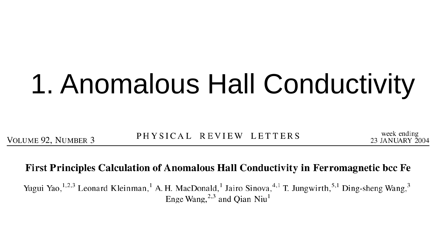# 1. Anomalous Hall Conductivity

VOLUME 92, NUMBER 3

PHYSICAL REVIEW LETTERS

week ending 23 JANUARY 2004

#### First Principles Calculation of Anomalous Hall Conductivity in Ferromagnetic bcc Fe

Yugui Yao,<sup>1,2,3</sup> Leonard Kleinman,<sup>1</sup> A. H. MacDonald,<sup>1</sup> Jairo Sinova,<sup>4,1</sup> T. Jungwirth,<sup>5,1</sup> Ding-sheng Wang,<sup>3</sup> Enge Wang,  $^{2,3}$  and Qian Niu<sup>1</sup>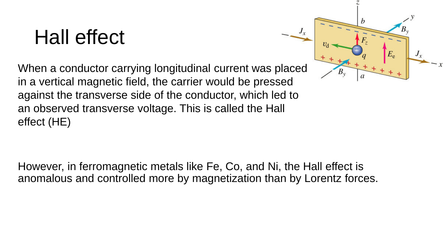### Hall effect

When a conductor carrying longitudinal current was placed in a vertical magnetic field, the carrier would be pressed against the transverse side of the conductor, which led to an observed transverse voltage. This is called the Hall effect (HE)



However, in ferromagnetic metals like Fe, Co, and Ni, the Hall effect is anomalous and controlled more by magnetization than by Lorentz forces.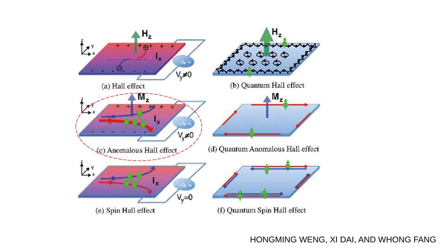

HONGMING WENG, XI DAI, AND WHONG FANG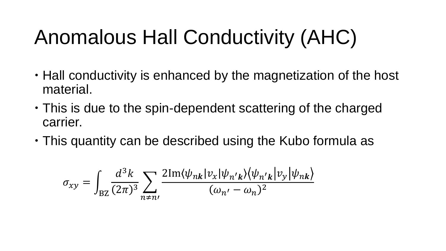## Anomalous Hall Conductivity (AHC)

- Hall conductivity is enhanced by the magnetization of the host material.
- This is due to the spin-dependent scattering of the charged carrier.
- This quantity can be described using the Kubo formula as

$$
\sigma_{xy} = \int_{BZ} \frac{d^3k}{(2\pi)^3} \sum_{n \neq n'} \frac{2\mathrm{Im}\langle \psi_{nk} | v_x | \psi_{n'k} \rangle \langle \psi_{n'k} | v_y | \psi_{nk} \rangle}{(\omega_{n'} - \omega_n)^2}
$$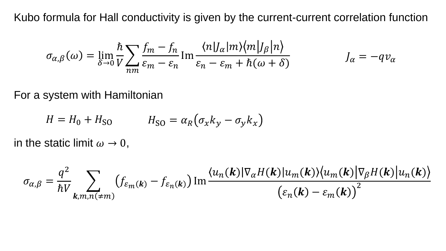Kubo formula for Hall conductivity is given by the current-current correlation function

$$
\sigma_{\alpha,\beta}(\omega) = \lim_{\delta \to 0} \frac{\hbar}{V} \sum_{nm} \frac{f_m - f_n}{\varepsilon_m - \varepsilon_n} \operatorname{Im} \frac{\langle n | J_{\alpha} | m \rangle \langle m | J_{\beta} | n \rangle}{\varepsilon_n - \varepsilon_m + \hbar(\omega + \delta)} \qquad J_{\alpha} = -q \nu_{\alpha}
$$

For a system with Hamiltonian

$$
H = H_0 + H_{SO} \qquad H_{SO} = \alpha_R (\sigma_x k_y - \sigma_y k_x)
$$

in the static limit  $\omega \rightarrow 0$ ,

$$
\sigma_{\alpha,\beta} = \frac{q^2}{\hbar V} \sum_{\mathbf{k}, m, n(\neq m)} \left( f_{\varepsilon_m(\mathbf{k})} - f_{\varepsilon_n(\mathbf{k})} \right) \text{Im} \frac{\langle u_n(\mathbf{k}) | \nabla_{\alpha} H(\mathbf{k}) | u_m(\mathbf{k}) \rangle \langle u_m(\mathbf{k}) | \nabla_{\beta} H(\mathbf{k}) | u_n(\mathbf{k}) \rangle}{\left( \varepsilon_n(\mathbf{k}) - \varepsilon_m(\mathbf{k}) \right)^2}
$$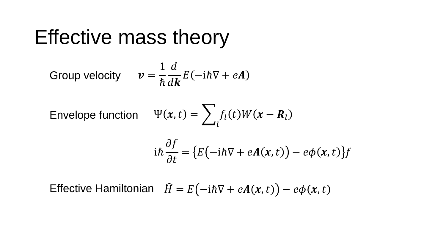#### Effective mass theory

Group velocity 
$$
v = \frac{1}{\hbar} \frac{d}{d\mathbf{k}} E(-i\hbar \nabla + e\mathbf{A})
$$

Envelope function  $\Psi($ 

$$
(\mathbf{x},t)=\sum_l f_l(t)W(\mathbf{x}-\mathbf{R}_l)
$$

$$
i\hbar \frac{\partial f}{\partial t} = \{E(-i\hbar \nabla + eA(x,t)) - e\phi(x,t)\}f
$$

Effective Hamiltonian  $\hat{H} = E(-i\hbar \nabla + eA(x, t)) - e\phi(x, t)$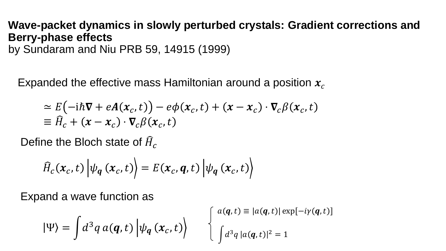#### **Wave-packet dynamics in slowly perturbed crystals: Gradient corrections and Berry-phase effects** by Sundaram and Niu PRB 59, 14915 (1999)

Expanded the effective mass Hamiltonian around a position  $x_c$ 

$$
\approx E(-i\hbar \nabla + eA(x_c, t)) - e\phi(x_c, t) + (x - x_c) \cdot \nabla_c \beta(x_c, t)
$$
  
\n
$$
\equiv \widehat{H}_c + (x - x_c) \cdot \nabla_c \beta(x_c, t)
$$

Define the Bloch state of  $\widehat{H}_c$ 

$$
\widehat{H}_c(\boldsymbol{x}_c, t) \left| \psi_{\boldsymbol{q}}\left(\boldsymbol{x}_c, t\right) \right\rangle = E(\boldsymbol{x}_c, \boldsymbol{q}, t) \left| \psi_{\boldsymbol{q}}\left(\boldsymbol{x}_c, t\right) \right\rangle
$$

Expand a wave function as

$$
|\Psi\rangle = \int d^3q \, a(\mathbf{q}, t) \left| \psi_{\mathbf{q}} \left( \mathbf{x}_c, t \right) \right\rangle \qquad \begin{cases} a(\mathbf{q}, t) \equiv |a(\mathbf{q}, t)| \exp[-i\gamma(\mathbf{q}, t)] \\ \int d^3q \, |a(\mathbf{q}, t)|^2 = 1 \end{cases}
$$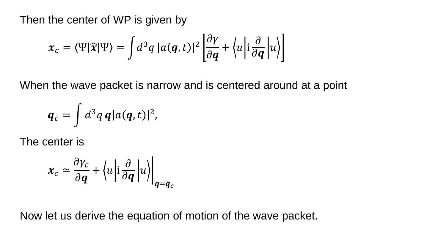Then the center of WP is given by

$$
x_c = \langle \Psi | \hat{\mathbf{x}} | \Psi \rangle = \int d^3 q \, |a(\mathbf{q}, t)|^2 \left[ \frac{\partial \gamma}{\partial \mathbf{q}} + \langle u | i \frac{\partial}{\partial \mathbf{q}} | u \rangle \right]
$$

When the wave packet is narrow and is centered around at a point

$$
\boldsymbol{q}_c = \int d^3 q \, \boldsymbol{q} |a(\boldsymbol{q},t)|^2,
$$

The center is

$$
x_c \simeq \frac{\partial \gamma_c}{\partial \boldsymbol{q}} + \left\langle u \middle| i \frac{\partial}{\partial \boldsymbol{q}} \middle| u \right\rangle \bigg|_{\boldsymbol{q} = \boldsymbol{q}_c}
$$

Now let us derive the equation of motion of the wave packet.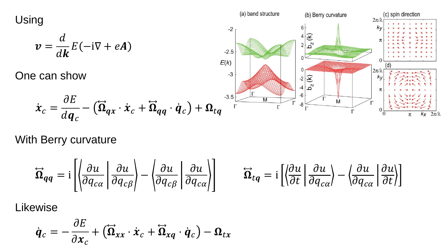Using

$$
\boldsymbol{v} = \frac{d}{d\boldsymbol{k}} E(-i\nabla + e\boldsymbol{A})
$$

One can show

 $\dot{\boldsymbol{x}}_c =$ 



With Berry curvature

 $\partial E$ 

 $d\bm{q}_c$ 

$$
\overrightarrow{\mathbf{\Omega}}_{qq} = i \left[ \left| \frac{\partial u}{\partial q_{c\alpha}} \middle| \frac{\partial u}{\partial q_{c\beta}} \right| - \left| \frac{\partial u}{\partial q_{c\beta}} \middle| \frac{\partial u}{\partial q_{c\alpha}} \right| \right] \qquad \overrightarrow{\mathbf{\Omega}}_{tq} = i \left[ \left| \frac{\partial u}{\partial t} \middle| \frac{\partial u}{\partial q_{c\alpha}} \right| - \left| \frac{\partial u}{\partial q_{c\alpha}} \middle| \frac{\partial u}{\partial t} \right| \right]
$$

Likewise

$$
\dot{\boldsymbol{q}}_c = -\frac{\partial E}{\partial \boldsymbol{x}_c} + \left(\overrightarrow{\boldsymbol{\Omega}}_{xx} \cdot \dot{\boldsymbol{x}}_c + \overrightarrow{\boldsymbol{\Omega}}_{xq} \cdot \dot{\boldsymbol{q}}_c\right) - \boldsymbol{\Omega}_{tx}
$$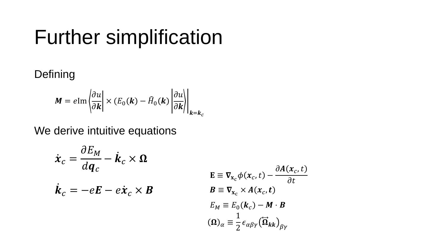### **Further simplification**

Defining

$$
M = e \text{Im} \left| \frac{\partial u}{\partial k} \right| \times (E_0(k) - \widehat{H}_0(k) \left| \frac{\partial u}{\partial k} \right|_{k=k_c}
$$

We derive intuitive equations

$$
\dot{\boldsymbol{x}}_c = \frac{\partial E_M}{d\boldsymbol{q}_c} - \dot{\boldsymbol{k}}_c \times \boldsymbol{\Omega}
$$
\n
$$
\dot{\boldsymbol{k}}_c = -e\boldsymbol{E} - e\dot{\boldsymbol{x}}_c \times \boldsymbol{B}
$$
\n
$$
\boldsymbol{E} \equiv \nabla_{\mathbf{x}_c} \phi(\mathbf{x}_c, t) - \frac{\partial A(\mathbf{x}_c, t)}{\partial \mathbf{x}_c \times \boldsymbol{A}(\mathbf{x}_c, t)}
$$
\n
$$
E_M \equiv E_0(\boldsymbol{k}_c) - \boldsymbol{M} \cdot \boldsymbol{B}
$$
\n
$$
(\boldsymbol{\Omega})_\alpha \equiv \frac{1}{2} \epsilon_{\alpha\beta\gamma} (\vec{\Omega}_{kk})_{\beta\gamma}
$$

 $-\frac{\partial A(x_c,t)}{\partial t}$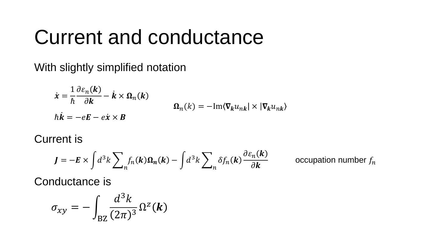### Current and conductance

With slightly simplified notation

$$
\dot{\mathbf{x}} = \frac{1}{\hbar} \frac{\partial \varepsilon_n(\mathbf{k})}{\partial \mathbf{k}} - \dot{\mathbf{k}} \times \mathbf{\Omega}_n(\mathbf{k})
$$
  
\n
$$
\mathbf{\Omega}_n(k) = -\mathrm{Im}\langle \nabla_k u_{nk} | \times | \nabla_k u_{nk} \rangle
$$
  
\n
$$
\hbar \dot{\mathbf{k}} = -e\mathbf{E} - e\dot{\mathbf{x}} \times \mathbf{B}
$$

Current is

$$
\mathbf{J} = -\mathbf{E} \times \int d^3k \sum_n f_n(\mathbf{k}) \mathbf{\Omega}_n(\mathbf{k}) - \int d^3k \sum_n \delta f_n(\mathbf{k}) \frac{\partial \varepsilon_n(\mathbf{k})}{\partial \mathbf{k}}
$$

occupation number  $f_n$ 

Conductance is

$$
\sigma_{xy} = -\int_{\text{BZ}} \frac{d^3k}{(2\pi)^3} \Omega^z(\mathbf{k})
$$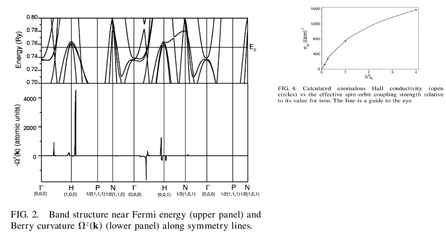



FIG. 4. Calculated anomalous Hall conductivity (open circles) vs the effective spin-orbit coupling strength relative to its value for iron. The line is a guide to the eye.

Band structure near Fermi energy (upper panel) and FIG. 2. Berry curvature  $\Omega^z(\mathbf{k})$  (lower panel) along symmetry lines.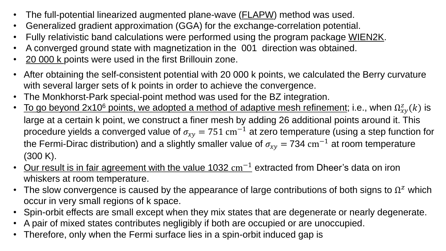- The full-potential linearized augmented plane-wave (FLAPW) method was used.
- Generalized gradient approximation (GGA) for the exchange-correlation potential.
- Fully relativistic band calculations were performed using the program package WIEN2K.
- A converged ground state with magnetization in the 001 direction was obtained.
- 20 000 k points were used in the first Brillouin zone.
- After obtaining the self-consistent potential with 20 000 k points, we calculated the Berry curvature with several larger sets of k points in order to achieve the convergence.
- The Monkhorst-Park special-point method was used for the BZ integration.
- To go beyond 2x10<sup>6</sup> points, we adopted a method of adaptive mesh refinement; i.e., when  $\Omega^z_{xy}(k)$  is large at a certain k point, we construct a finer mesh by adding 26 additional points around it. This procedure yields a converged value of  $\sigma_{\text{xy}}$  = 751  $\rm cm^{-1}$  at zero temperature (using a step function for the Fermi-Dirac distribution) and a slightly smaller value of  $\sigma_{\chi y} = 734\ \mathrm{cm}^{-1}$  at room temperature (300 K).
- Our result is in fair agreement with the value  $1032 \text{ cm}^{-1}$  extracted from Dheer's data on iron whiskers at room temperature.
- The slow convergence is caused by the appearance of large contributions of both signs to  $\Omega^z$  which occur in very small regions of k space.
- Spin-orbit effects are small except when they mix states that are degenerate or nearly degenerate.
- A pair of mixed states contributes negligibly if both are occupied or are unoccupied.
- Therefore, only when the Fermi surface lies in a spin-orbit induced gap is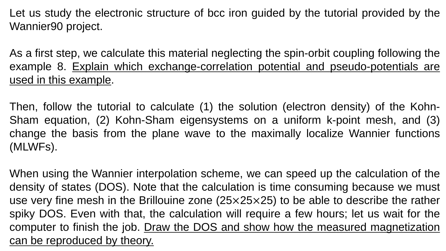Let us study the electronic structure of bcc iron guided by the tutorial provided by the Wannier90 project.

As a first step, we calculate this material neglecting the spin-orbit coupling following the example 8. Explain which exchange-correlation potential and pseudo-potentials are used in this example.

Then, follow the tutorial to calculate (1) the solution (electron density) of the Kohn-Sham equation, (2) Kohn-Sham eigensystems on a uniform k-point mesh, and (3) change the basis from the plane wave to the maximally localize Wannier functions (MLWFs).

When using the Wannier interpolation scheme, we can speed up the calculation of the density of states (DOS). Note that the calculation is time consuming because we must use very fine mesh in the Brillouine zone  $(25\times25\times25)$  to be able to describe the rather spiky DOS. Even with that, the calculation will require a few hours; let us wait for the computer to finish the job. Draw the DOS and show how the measured magnetization can be reproduced by theory.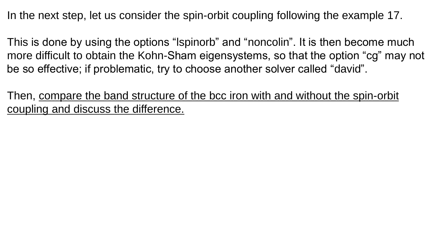In the next step, let us consider the spin-orbit coupling following the example 17.

This is done by using the options "lspinorb" and "noncolin". It is then become much more difficult to obtain the Kohn-Sham eigensystems, so that the option "cg" may not be so effective; if problematic, try to choose another solver called "david".

Then, compare the band structure of the bcc iron with and without the spin-orbit coupling and discuss the difference.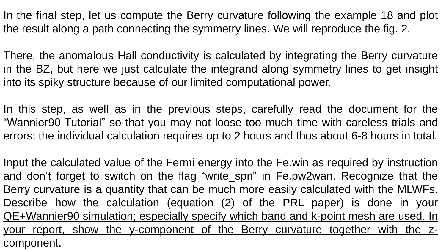In the final step, let us compute the Berry curvature following the example 18 and plot the result along a path connecting the symmetry lines. We will reproduce the fig. 2.

There, the anomalous Hall conductivity is calculated by integrating the Berry curvature in the BZ, but here we just calculate the integrand along symmetry lines to get insight into its spiky structure because of our limited computational power.

In this step, as well as in the previous steps, carefully read the document for the "Wannier90 Tutorial" so that you may not loose too much time with careless trials and errors; the individual calculation requires up to 2 hours and thus about 6-8 hours in total.

Input the calculated value of the Fermi energy into the Fe.win as required by instruction and don't forget to switch on the flag "write\_spn" in Fe.pw2wan. Recognize that the Berry curvature is a quantity that can be much more easily calculated with the MLWFs. Describe how the calculation (equation (2) of the PRL paper) is done in your QE+Wannier90 simulation; especially specify which band and k-point mesh are used. In your report, show the y-component of the Berry curvature together with the zcomponent.